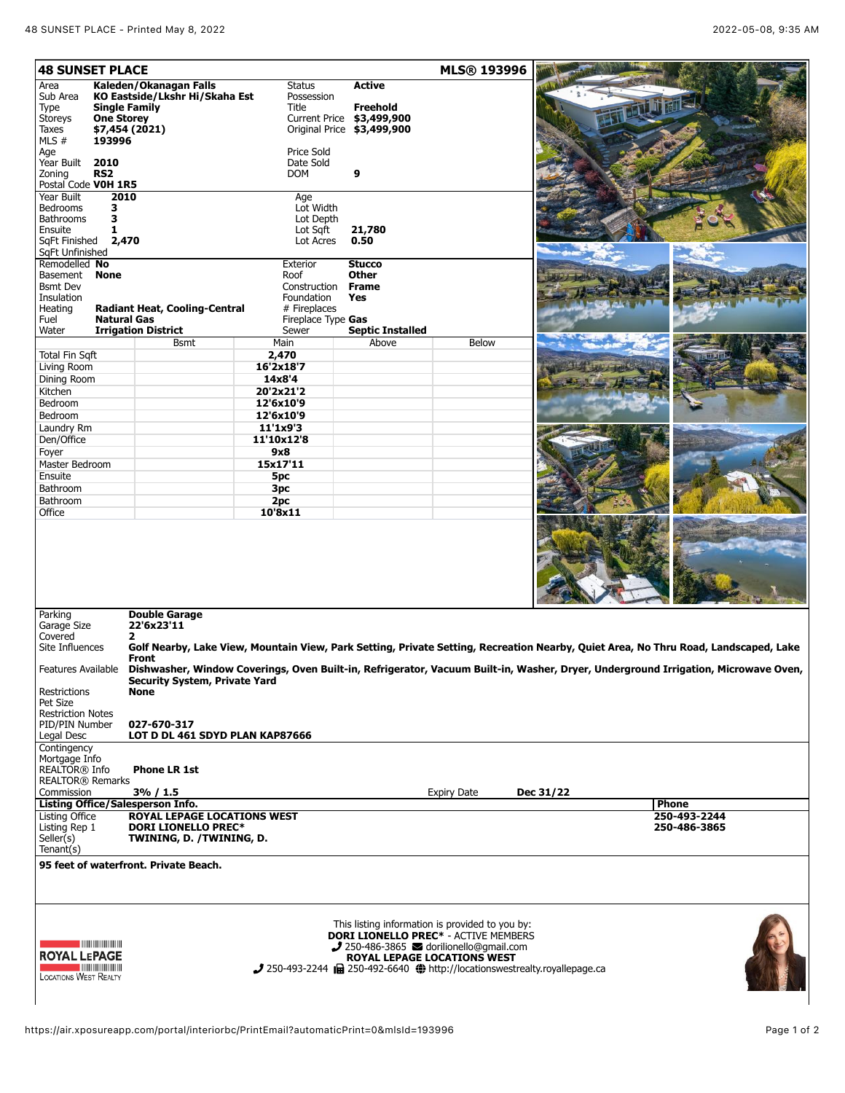| Area                                                                                                                 |                                                                                                                                                                                                       |                       |                                       | MLS® 193996                                                                                    |           |              |  |
|----------------------------------------------------------------------------------------------------------------------|-------------------------------------------------------------------------------------------------------------------------------------------------------------------------------------------------------|-----------------------|---------------------------------------|------------------------------------------------------------------------------------------------|-----------|--------------|--|
|                                                                                                                      | Kaleden/Okanagan Falls                                                                                                                                                                                | <b>Status</b>         | <b>Active</b>                         |                                                                                                |           |              |  |
| Sub Area                                                                                                             | KO Eastside/Lkshr Hi/Skaha Est                                                                                                                                                                        | Possession<br>Title   |                                       |                                                                                                |           |              |  |
| Type<br>Storeys<br><b>One Storey</b>                                                                                 | <b>Single Family</b>                                                                                                                                                                                  |                       | Freehold<br>Current Price \$3,499,900 |                                                                                                |           |              |  |
| Taxes                                                                                                                | \$7,454 (2021)                                                                                                                                                                                        |                       | Original Price \$3,499,900            |                                                                                                |           |              |  |
| MLS #<br>193996                                                                                                      |                                                                                                                                                                                                       |                       |                                       |                                                                                                |           |              |  |
| Age                                                                                                                  |                                                                                                                                                                                                       | Price Sold            |                                       |                                                                                                |           |              |  |
| Year Built<br>2010                                                                                                   |                                                                                                                                                                                                       | Date Sold             |                                       |                                                                                                |           |              |  |
| RS <sub>2</sub><br>Zoning                                                                                            |                                                                                                                                                                                                       | <b>DOM</b>            | 9                                     |                                                                                                |           |              |  |
| Postal Code VOH 1R5                                                                                                  |                                                                                                                                                                                                       |                       |                                       |                                                                                                |           |              |  |
| Year Built                                                                                                           | 2010                                                                                                                                                                                                  | Age                   |                                       |                                                                                                |           |              |  |
| <b>Bedrooms</b><br>3                                                                                                 |                                                                                                                                                                                                       | Lot Width             |                                       |                                                                                                |           |              |  |
| 3<br><b>Bathrooms</b><br>Ensuite                                                                                     |                                                                                                                                                                                                       | Lot Depth             |                                       |                                                                                                |           |              |  |
| 1<br>SqFt Finished                                                                                                   | 2,470                                                                                                                                                                                                 | Lot Sgft<br>Lot Acres | 21,780<br>0.50                        |                                                                                                |           |              |  |
| SqFt Unfinished                                                                                                      |                                                                                                                                                                                                       |                       |                                       |                                                                                                |           |              |  |
| Remodelled No                                                                                                        |                                                                                                                                                                                                       | Exterior              | <b>Stucco</b>                         |                                                                                                |           |              |  |
| Basement<br><b>None</b>                                                                                              |                                                                                                                                                                                                       | Roof                  | <b>Other</b>                          |                                                                                                |           |              |  |
| <b>Bsmt Dev</b>                                                                                                      |                                                                                                                                                                                                       | Construction Frame    |                                       |                                                                                                |           |              |  |
| Insulation                                                                                                           |                                                                                                                                                                                                       | Foundation            | Yes                                   |                                                                                                |           |              |  |
| Heating                                                                                                              | <b>Radiant Heat, Cooling-Central</b>                                                                                                                                                                  | # Fireplaces          |                                       |                                                                                                |           |              |  |
| Fuel                                                                                                                 | <b>Natural Gas</b>                                                                                                                                                                                    | Fireplace Type Gas    |                                       |                                                                                                |           |              |  |
| Water                                                                                                                | <b>Irrigation District</b>                                                                                                                                                                            | Sewer                 | <b>Septic Installed</b>               |                                                                                                |           |              |  |
|                                                                                                                      | <b>Bsmt</b>                                                                                                                                                                                           | Main                  | Above                                 | <b>Below</b>                                                                                   |           |              |  |
| <b>Total Fin Sqft</b>                                                                                                |                                                                                                                                                                                                       | 2,470                 |                                       |                                                                                                |           |              |  |
| Living Room                                                                                                          |                                                                                                                                                                                                       | 16'2x18'7             |                                       |                                                                                                |           |              |  |
| Dining Room                                                                                                          |                                                                                                                                                                                                       | 14x8'4                |                                       |                                                                                                |           |              |  |
| Kitchen                                                                                                              |                                                                                                                                                                                                       | 20'2x21'2             |                                       |                                                                                                |           |              |  |
| Bedroom                                                                                                              |                                                                                                                                                                                                       | 12'6x10'9             |                                       |                                                                                                |           |              |  |
| Bedroom                                                                                                              |                                                                                                                                                                                                       | 12'6x10'9             |                                       |                                                                                                |           |              |  |
| Laundry Rm                                                                                                           |                                                                                                                                                                                                       | 11'1x9'3              |                                       |                                                                                                |           |              |  |
| Den/Office                                                                                                           |                                                                                                                                                                                                       | 11'10x12'8            |                                       |                                                                                                |           |              |  |
| Foyer                                                                                                                |                                                                                                                                                                                                       | 9x8                   |                                       |                                                                                                |           |              |  |
| Master Bedroom                                                                                                       |                                                                                                                                                                                                       | 15x17'11              |                                       |                                                                                                |           |              |  |
| Ensuite                                                                                                              |                                                                                                                                                                                                       | 5pc                   |                                       |                                                                                                |           |              |  |
| Bathroom                                                                                                             |                                                                                                                                                                                                       | 3pc                   |                                       |                                                                                                |           |              |  |
| Bathroom                                                                                                             |                                                                                                                                                                                                       | 2pc                   |                                       |                                                                                                |           |              |  |
| Office                                                                                                               |                                                                                                                                                                                                       | 10'8x11               |                                       |                                                                                                |           |              |  |
|                                                                                                                      |                                                                                                                                                                                                       |                       |                                       |                                                                                                |           |              |  |
|                                                                                                                      |                                                                                                                                                                                                       |                       |                                       |                                                                                                |           |              |  |
| Parking                                                                                                              | <b>Double Garage</b>                                                                                                                                                                                  |                       |                                       |                                                                                                |           |              |  |
| Garage Size<br>Covered                                                                                               | 22'6x23'11                                                                                                                                                                                            |                       |                                       |                                                                                                |           |              |  |
| Site Influences                                                                                                      | 2<br>Golf Nearby, Lake View, Mountain View, Park Setting, Private Setting, Recreation Nearby, Quiet Area, No Thru Road, Landscaped, Lake                                                              |                       |                                       |                                                                                                |           |              |  |
|                                                                                                                      | Front                                                                                                                                                                                                 |                       |                                       |                                                                                                |           |              |  |
| <b>Restrictions</b>                                                                                                  | Features Available Dishwasher, Window Coverings, Oven Built-in, Refrigerator, Vacuum Built-in, Washer, Dryer, Underground Irrigation, Microwave Oven,<br>Security System, Private Yard<br><b>None</b> |                       |                                       |                                                                                                |           |              |  |
| Pet Size                                                                                                             |                                                                                                                                                                                                       |                       |                                       |                                                                                                |           |              |  |
| <b>Restriction Notes</b>                                                                                             |                                                                                                                                                                                                       |                       |                                       |                                                                                                |           |              |  |
| PID/PIN Number                                                                                                       | 027-670-317                                                                                                                                                                                           |                       |                                       |                                                                                                |           |              |  |
| Legal Desc                                                                                                           | LOT D DL 461 SDYD PLAN KAP87666                                                                                                                                                                       |                       |                                       |                                                                                                |           |              |  |
| Contingency                                                                                                          |                                                                                                                                                                                                       |                       |                                       |                                                                                                |           |              |  |
| Mortgage Info                                                                                                        |                                                                                                                                                                                                       |                       |                                       |                                                                                                |           |              |  |
| REALTOR® Info<br><b>REALTOR® Remarks</b>                                                                             | <b>Phone LR 1st</b>                                                                                                                                                                                   |                       |                                       |                                                                                                |           |              |  |
| Commission                                                                                                           | $3\% / 1.5$                                                                                                                                                                                           |                       |                                       | <b>Expiry Date</b>                                                                             | Dec 31/22 |              |  |
|                                                                                                                      | Listing Office/Salesperson Info.                                                                                                                                                                      |                       |                                       |                                                                                                |           | <b>Phone</b> |  |
|                                                                                                                      | <b>ROYAL LEPAGE LOCATIONS WEST</b>                                                                                                                                                                    |                       |                                       |                                                                                                |           | 250-493-2244 |  |
| <b>Listing Office</b><br>Listing Rep 1                                                                               | <b>DORI LIONELLO PREC*</b>                                                                                                                                                                            |                       |                                       |                                                                                                |           | 250-486-3865 |  |
| Seller(s)                                                                                                            | TWINING, D. /TWINING, D.                                                                                                                                                                              |                       |                                       |                                                                                                |           |              |  |
| Tenant(s)                                                                                                            |                                                                                                                                                                                                       |                       |                                       |                                                                                                |           |              |  |
|                                                                                                                      | 95 feet of waterfront. Private Beach.                                                                                                                                                                 |                       |                                       |                                                                                                |           |              |  |
|                                                                                                                      |                                                                                                                                                                                                       |                       |                                       |                                                                                                |           |              |  |
|                                                                                                                      |                                                                                                                                                                                                       |                       |                                       | This listing information is provided to you by:<br><b>DORI LIONELLO PREC*</b> - ACTIVE MÉMBERS |           |              |  |
| <u> Elizabeth Maria Maria Maria Maria Maria Maria Maria Maria Maria Maria Maria Maria Maria Maria Maria Maria Ma</u> |                                                                                                                                                                                                       |                       |                                       | $\bigcup$ 250-486-3865 $\bigotimes$ dorilionello@qmail.com                                     |           |              |  |
| <b>ROYAL LEPAGE</b>                                                                                                  |                                                                                                                                                                                                       |                       |                                       | ROYAL LEPAGE LOCATIONS WEST                                                                    |           |              |  |
| $\blacksquare$ . The contribution of $\blacksquare$                                                                  |                                                                                                                                                                                                       |                       |                                       | 250-493-2244 <b>http://locationswestrealty.royallepage.ca</b>                                  |           |              |  |
| <b>LOCATIONS WEST REALTY</b>                                                                                         |                                                                                                                                                                                                       |                       |                                       |                                                                                                |           |              |  |